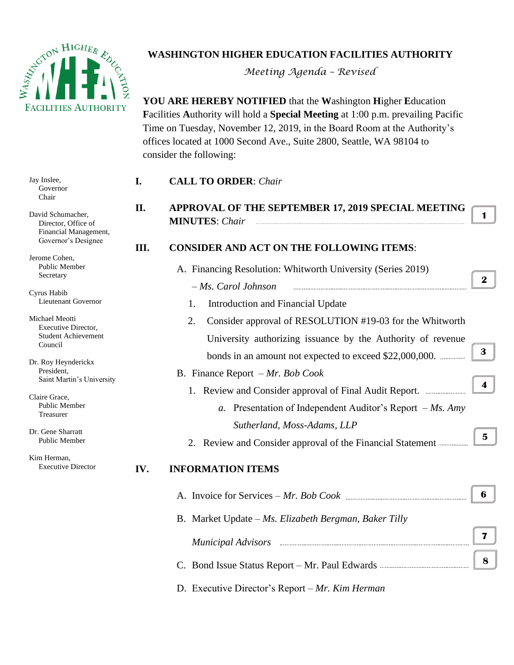

## **WASHINGTON HIGHER EDUCATION FACILITIES AUTHORITY**

*Meeting Agenda – Revised* 

**YOU ARE HEREBY NOTIFIED** that the **W**ashington **H**igher **E**ducation **F**acilities **A**uthority will hold a **Special Meeting** at 1:00 p.m. prevailing Pacific Time on Tuesday, November 12, 2019, in the Board Room at the Authority's offices located at 1000 Second Ave., Suite 2800, Seattle, WA 98104 to consider the following:

| Jay Inslee,<br>Governor<br>Chair                                                         | I.   | <b>CALL TO ORDER: Chair</b>                                                                                                                                                                                                         |                         |
|------------------------------------------------------------------------------------------|------|-------------------------------------------------------------------------------------------------------------------------------------------------------------------------------------------------------------------------------------|-------------------------|
|                                                                                          | II.  | APPROVAL OF THE SEPTEMBER 17, 2019 SPECIAL MEETING                                                                                                                                                                                  |                         |
| David Schumacher,<br>Director, Office of<br>Financial Management,<br>Governor's Designee |      | <b>MINUTES:</b> Chair                                                                                                                                                                                                               | 1                       |
|                                                                                          | III. | <b>CONSIDER AND ACT ON THE FOLLOWING ITEMS:</b>                                                                                                                                                                                     |                         |
| Jerome Cohen,<br>Public Member<br>Secretary                                              |      | A. Financing Resolution: Whitworth University (Series 2019)                                                                                                                                                                         | $\mathbf{2}$            |
| Cyrus Habib<br>Lieutenant Governor                                                       |      | - Ms. Carol Johnson                                                                                                                                                                                                                 |                         |
|                                                                                          |      | Introduction and Financial Update<br>1.                                                                                                                                                                                             |                         |
| Michael Meotti<br><b>Executive Director,</b><br><b>Student Achievement</b><br>Council    |      | Consider approval of RESOLUTION #19-03 for the Whitworth<br>2.                                                                                                                                                                      |                         |
|                                                                                          |      | University authorizing issuance by the Authority of revenue                                                                                                                                                                         |                         |
| Dr. Roy Heynderickx<br>President,<br>Saint Martin's University                           |      |                                                                                                                                                                                                                                     | 3                       |
|                                                                                          |      | B. Finance Report $-Mr$ . Bob Cook                                                                                                                                                                                                  |                         |
|                                                                                          |      |                                                                                                                                                                                                                                     | $\overline{\mathbf{4}}$ |
| Claire Grace,<br>Public Member                                                           |      | a. Presentation of Independent Auditor's Report $-Ms$ . Amy                                                                                                                                                                         |                         |
| Treasurer                                                                                |      | Sutherland, Moss-Adams, LLP                                                                                                                                                                                                         |                         |
| Dr. Gene Sharratt<br>Public Member                                                       |      | 2. Review and Consider approval of the Financial Statement                                                                                                                                                                          | 5                       |
| Kim Herman,                                                                              |      |                                                                                                                                                                                                                                     |                         |
| <b>Executive Director</b>                                                                | IV.  | <b>INFORMATION ITEMS</b>                                                                                                                                                                                                            |                         |
|                                                                                          |      |                                                                                                                                                                                                                                     | 6                       |
|                                                                                          |      | B. Market Update – Ms. Elizabeth Bergman, Baker Tilly                                                                                                                                                                               |                         |
|                                                                                          |      | Municipal Advisors <b>communications</b> and the contract of the contract of the contract of the contract of the contract of the contract of the contract of the contract of the contract of the contract of the contract of the co | $\mathbf{7}$            |
|                                                                                          |      |                                                                                                                                                                                                                                     | 8                       |
|                                                                                          |      |                                                                                                                                                                                                                                     |                         |

D. Executive Director's Report – *Mr. Kim Herman*